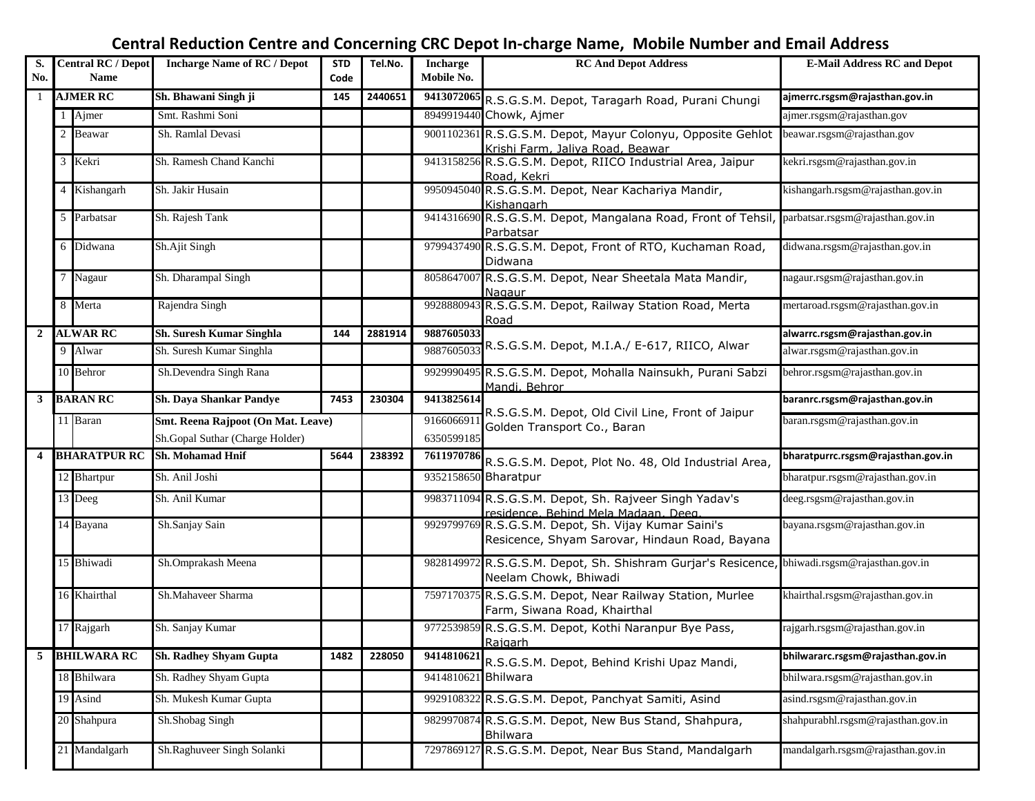## **Central Reduction Centre and Concerning CRC Depot In-charge Name, Mobile Number and Email Address**

| S.<br>No.               |   | <b>Central RC / Depot</b><br><b>Name</b> | <b>Incharge Name of RC / Depot</b>                                    | <b>STD</b><br>Code | Tel.No. | <b>Incharge</b><br>Mobile No. | <b>RC And Depot Address</b>                                                                                           | <b>E-Mail Address RC and Depot</b> |
|-------------------------|---|------------------------------------------|-----------------------------------------------------------------------|--------------------|---------|-------------------------------|-----------------------------------------------------------------------------------------------------------------------|------------------------------------|
| -1                      |   | <b>AJMER RC</b>                          | Sh. Bhawani Singh ji                                                  | 145                | 2440651 |                               | 9413072065 R.S.G.S.M. Depot, Taragarh Road, Purani Chungi                                                             | ajmerrc.rsgsm@rajasthan.gov.in     |
|                         |   | Ajmer                                    | Smt. Rashmi Soni                                                      |                    |         |                               | 8949919440 Chowk, Ajmer                                                                                               | ajmer.rsgsm@rajasthan.gov          |
|                         | 2 | Beawar                                   | Sh. Ramlal Devasi                                                     |                    |         |                               | 9001102361 R.S.G.S.M. Depot, Mayur Colonyu, Opposite Gehlot<br>Krishi Farm, Jaliva Road, Beawar                       | beawar.rsgsm@rajasthan.gov         |
|                         |   | 3 Kekri                                  | Sh. Ramesh Chand Kanchi                                               |                    |         |                               | 9413158256 R.S.G.S.M. Depot, RIICO Industrial Area, Jaipur<br>Road, Kekri                                             | kekri.rsgsm@rajasthan.gov.in       |
|                         |   | 4 Kishangarh                             | Sh. Jakir Husain                                                      |                    |         | 9950945040                    | R.S.G.S.M. Depot, Near Kachariya Mandir,<br>Kishangarh                                                                | kishangarh.rsgsm@rajasthan.gov.in  |
|                         |   | 5 Parbatsar                              | Sh. Rajesh Tank                                                       |                    |         |                               | 9414316690 R.S.G.S.M. Depot, Mangalana Road, Front of Tehsil, parbatsar.rsgsm@rajasthan.gov.in<br>Parbatsar           |                                    |
|                         |   | 6 Didwana                                | Sh.Ajit Singh                                                         |                    |         |                               | 9799437490 R.S.G.S.M. Depot, Front of RTO, Kuchaman Road,<br>Didwana                                                  | didwana.rsgsm@rajasthan.gov.in     |
|                         |   | 7 Nagaur                                 | Sh. Dharampal Singh                                                   |                    |         |                               | 8058647007 R.S.G.S.M. Depot, Near Sheetala Mata Mandir,<br>Nagaur                                                     | nagaur.rsgsm@rajasthan.gov.in      |
|                         |   | 8 Merta                                  | Rajendra Singh                                                        |                    |         |                               | 9928880943 R.S.G.S.M. Depot, Railway Station Road, Merta<br>Road                                                      | mertaroad.rsgsm@rajasthan.gov.in   |
| $\overline{2}$          |   | <b>ALWAR RC</b>                          | Sh. Suresh Kumar Singhla                                              | 144                | 2881914 | 9887605033                    |                                                                                                                       | alwarrc.rsgsm@rajasthan.gov.in     |
|                         |   | 9 Alwar                                  | Sh. Suresh Kumar Singhla                                              |                    |         | 988760503                     | R.S.G.S.M. Depot, M.I.A./ E-617, RIICO, Alwar                                                                         | alwar.rsgsm@rajasthan.gov.in       |
|                         |   | 10 Behror                                | Sh.Devendra Singh Rana                                                |                    |         |                               | 9929990495 R.S.G.S.M. Depot, Mohalla Nainsukh, Purani Sabzi<br>Mandi, Behror                                          | behror.rsgsm@rajasthan.gov.in      |
| 3                       |   | <b>BARAN RC</b>                          | Sh. Daya Shankar Pandye                                               | 7453               | 230304  | 9413825614                    |                                                                                                                       | baranrc.rsgsm@rajasthan.gov.in     |
|                         |   | 11 Baran                                 | Smt. Reena Rajpoot (On Mat. Leave)<br>Sh.Gopal Suthar (Charge Holder) |                    |         | 916606691<br>6350599185       | R.S.G.S.M. Depot, Old Civil Line, Front of Jaipur<br>Golden Transport Co., Baran                                      | baran.rsgsm@rajasthan.gov.in       |
| $\overline{\mathbf{4}}$ |   | <b>BHARATPUR RC</b>                      | <b>Sh. Mohamad Hnif</b>                                               | 5644               | 238392  | 7611970786                    | R.S.G.S.M. Depot, Plot No. 48, Old Industrial Area,                                                                   | bharatpurrc.rsgsm@rajasthan.gov.in |
|                         |   | 12 Bhartpur                              | Sh. Anil Joshi                                                        |                    |         | 9352158650 Bharatpur          |                                                                                                                       | bharatpur.rsgsm@rajasthan.gov.in   |
|                         |   | 13 Deeg                                  | Sh. Anil Kumar                                                        |                    |         |                               | 9983711094 R.S.G.S.M. Depot, Sh. Rajveer Singh Yadav's<br>residence, Behind Mela Madaan, Deeg.                        | deeg.rsgsm@rajasthan.gov.in        |
|                         |   | 14 Bayana                                | Sh.Sanjay Sain                                                        |                    |         |                               | 9929799769 R.S.G.S.M. Depot, Sh. Vijay Kumar Saini's<br>Resicence, Shyam Sarovar, Hindaun Road, Bayana                | bayana.rsgsm@rajasthan.gov.in      |
|                         |   | 15 Bhiwadi                               | Sh.Omprakash Meena                                                    |                    |         |                               | 9828149972 R.S.G.S.M. Depot, Sh. Shishram Gurjar's Resicence, bhiwadi.rsgsm@rajasthan.gov.in<br>Neelam Chowk, Bhiwadi |                                    |
|                         |   | 16 Khairthal                             | Sh.Mahaveer Sharma                                                    |                    |         |                               | 7597170375 R.S.G.S.M. Depot, Near Railway Station, Murlee<br>Farm, Siwana Road, Khairthal                             | khairthal.rsgsm@rajasthan.gov.in   |
|                         |   | 17 Rajgarh                               | Sh. Sanjay Kumar                                                      |                    |         |                               | 9772539859 R.S.G.S.M. Depot, Kothi Naranpur Bye Pass,<br>Rajgarh                                                      | rajgarh.rsgsm@rajasthan.gov.in     |
| 5                       |   | <b>BHILWARA RC</b>                       | <b>Sh. Radhey Shyam Gupta</b>                                         | 1482               | 228050  | 9414810621                    | R.S.G.S.M. Depot, Behind Krishi Upaz Mandi,                                                                           | bhilwararc.rsgsm@rajasthan.gov.in  |
|                         |   | 18 Bhilwara                              | Sh. Radhey Shyam Gupta                                                |                    |         | 9414810621 Bhilwara           |                                                                                                                       | bhilwara.rsgsm@rajasthan.gov.in    |
|                         |   | 19 Asind                                 | Sh. Mukesh Kumar Gupta                                                |                    |         |                               | 9929108322 R.S.G.S.M. Depot, Panchyat Samiti, Asind                                                                   | asind.rsgsm@rajasthan.gov.in       |
|                         |   | 20 Shahpura                              | Sh.Shobag Singh                                                       |                    |         |                               | 9829970874 R.S.G.S.M. Depot, New Bus Stand, Shahpura,<br>Bhilwara                                                     | shahpurabhl.rsgsm@rajasthan.gov.in |
|                         |   | 21 Mandalgarh                            | Sh.Raghuveer Singh Solanki                                            |                    |         |                               | 7297869127 R.S.G.S.M. Depot, Near Bus Stand, Mandalgarh                                                               | mandalgarh.rsgsm@rajasthan.gov.in  |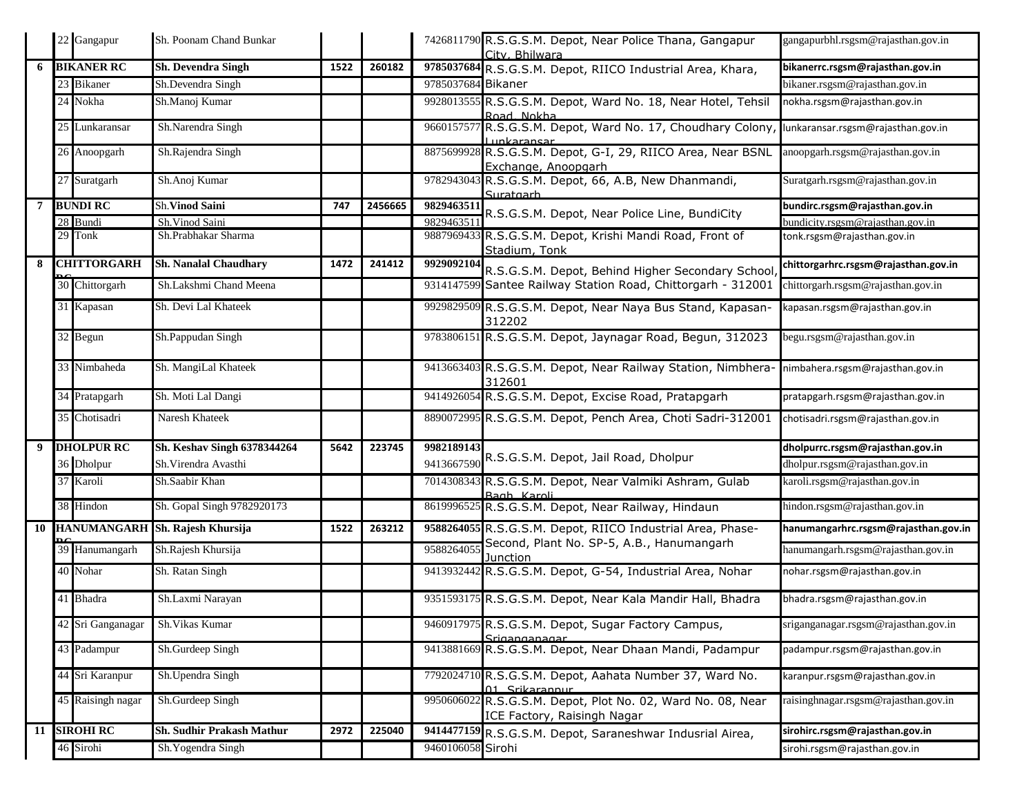|    | 22 Gangapur        | Sh. Poonam Chand Bunkar          |      |         |                    | 7426811790 R.S.G.S.M. Depot, Near Police Thana, Gangapur<br>City, Bhilwara                 | gangapurbhl.rsgsm@rajasthan.gov.in   |
|----|--------------------|----------------------------------|------|---------|--------------------|--------------------------------------------------------------------------------------------|--------------------------------------|
| 6  | <b>BIKANER RC</b>  | <b>Sh. Devendra Singh</b>        | 1522 | 260182  |                    | 9785037684 R.S.G.S.M. Depot, RIICO Industrial Area, Khara,                                 | bikanerrc.rsgsm@rajasthan.gov.in     |
|    | 23 Bikaner         | Sh.Devendra Singh                |      |         | 9785037684 Bikaner |                                                                                            | bikaner.rsgsm@rajasthan.gov.in       |
|    | 24 Nokha           | Sh.Manoj Kumar                   |      |         |                    | 9928013555 R.S.G.S.M. Depot, Ward No. 18, Near Hotel, Tehsil<br>Road, Nokha                | nokha.rsgsm@rajasthan.gov.in         |
|    | 25 Lunkaransar     | Sh.Narendra Singh                |      |         |                    | 9660157577 R.S.G.S.M. Depot, Ward No. 17, Choudhary Colony,<br>unkaransar                  | lunkaransar.rsgsm@rajasthan.gov.in   |
|    | 26 Anoopgarh       | Sh.Rajendra Singh                |      |         |                    | 8875699928 R.S.G.S.M. Depot, G-I, 29, RIICO Area, Near BSNL<br>Exchange, Anoopgarh         | anoopgarh.rsgsm@rajasthan.gov.in     |
|    | 27 Suratgarh       | Sh.Anoj Kumar                    |      |         |                    | 9782943043 R.S.G.S.M. Depot, 66, A.B, New Dhanmandi,<br>Suratgarh                          | Suratgarh.rsgsm@rajasthan.gov.in     |
| 7  | <b>BUNDI RC</b>    | Sh. Vinod Saini                  | 747  | 2456665 | 9829463511         | R.S.G.S.M. Depot, Near Police Line, BundiCity                                              | bundirc.rsgsm@rajasthan.gov.in       |
|    | 28 Bundi           | Sh.Vinod Saini                   |      |         | 9829463511         |                                                                                            | bundicity.rsgsm@raiasthan.gov.in     |
|    | 29 Tonk            | Sh.Prabhakar Sharma              |      |         |                    | 9887969433 R.S.G.S.M. Depot, Krishi Mandi Road, Front of<br>Stadium, Tonk                  | tonk.rsgsm@rajasthan.gov.in          |
| 8  | <b>CHITTORGARH</b> | <b>Sh. Nanalal Chaudhary</b>     | 1472 | 241412  |                    | 9929092104 R.S.G.S.M. Depot, Behind Higher Secondary School,                               | chittorgarhrc.rsgsm@rajasthan.gov.in |
|    | 30 Chittorgarh     | Sh.Lakshmi Chand Meena           |      |         |                    | 9314147599 Santee Railway Station Road, Chittorgarh - 312001                               | chittorgarh.rsgsm@rajasthan.gov.in   |
|    | 31 Kapasan         | Sh. Devi Lal Khateek             |      |         |                    | 9929829509 R.S.G.S.M. Depot, Near Naya Bus Stand, Kapasan-<br>312202                       | kapasan.rsgsm@rajasthan.gov.in       |
|    | 32 Begun           | Sh.Pappudan Singh                |      |         |                    | 9783806151 R.S.G.S.M. Depot, Jaynagar Road, Begun, 312023                                  | begu.rsgsm@rajasthan.gov.in          |
|    | 33 Nimbaheda       | Sh. MangiLal Khateek             |      |         |                    | 9413663403 R.S.G.S.M. Depot, Near Railway Station, Nimbhera-<br>312601                     | nimbahera.rsgsm@rajasthan.gov.in     |
|    | 34 Pratapgarh      | Sh. Moti Lal Dangi               |      |         |                    | 9414926054 R.S.G.S.M. Depot, Excise Road, Pratapgarh                                       | pratapgarh.rsgsm@rajasthan.gov.in    |
|    | 35 Chotisadri      | Naresh Khateek                   |      |         |                    | 8890072995 R.S.G.S.M. Depot, Pench Area, Choti Sadri-312001                                | chotisadri.rsgsm@rajasthan.gov.in    |
| 9  | <b>DHOLPUR RC</b>  | Sh. Keshav Singh 6378344264      | 5642 | 223745  | 9982189143         |                                                                                            | dholpurrc.rsgsm@rajasthan.gov.in     |
|    | 36 Dholpur         | Sh. Virendra Avasthi             |      |         | 9413667590         | R.S.G.S.M. Depot, Jail Road, Dholpur                                                       | dholpur.rsgsm@rajasthan.gov.in       |
|    | 37 Karoli          | Sh.Saabir Khan                   |      |         |                    | 7014308343 R.S.G.S.M. Depot, Near Valmiki Ashram, Gulab<br>Bagh Karoli                     | karoli.rsgsm@rajasthan.gov.in        |
|    | 38 Hindon          | Sh. Gopal Singh 9782920173       |      |         |                    | 8619996525 R.S.G.S.M. Depot, Near Railway, Hindaun                                         | hindon.rsgsm@rajasthan.gov.in        |
| 10 |                    | HANUMANGARH Sh. Rajesh Khursija  | 1522 | 263212  |                    | 9588264055 R.S.G.S.M. Depot, RIICO Industrial Area, Phase-                                 | hanumangarhrc.rsgsm@rajasthan.gov.in |
|    | 39 Hanumangarh     | Sh.Rajesh Khursija               |      |         | 958826405          | Second, Plant No. SP-5, A.B., Hanumangarh<br>Junction                                      | hanumangarh.rsgsm@rajasthan.gov.in   |
|    | 40 Nohar           | Sh. Ratan Singh                  |      |         |                    | 9413932442 R.S.G.S.M. Depot, G-54, Industrial Area, Nohar                                  | nohar.rsgsm@rajasthan.gov.in         |
|    | 41 Bhadra          | Sh.Laxmi Narayan                 |      |         |                    | 9351593175 R.S.G.S.M. Depot, Near Kala Mandir Hall, Bhadra                                 | bhadra.rsgsm@rajasthan.gov.in        |
|    | 42 Sri Ganganagar  | Sh. Vikas Kumar                  |      |         |                    | 9460917975 R.S.G.S.M. Depot, Sugar Factory Campus,<br>Sriganganagar                        | sriganganagar.rsgsm@rajasthan.gov.in |
|    | 43 Padampur        | Sh.Gurdeep Singh                 |      |         |                    | 9413881669 R.S.G.S.M. Depot, Near Dhaan Mandi, Padampur                                    | padampur.rsgsm@rajasthan.gov.in      |
|    | 44 Sri Karanpur    | Sh.Upendra Singh                 |      |         |                    | 7792024710 R.S.G.S.M. Depot, Aahata Number 37, Ward No.<br>01 Srikarannur                  | karanpur.rsgsm@rajasthan.gov.in      |
|    | 45 Raisingh nagar  | Sh.Gurdeep Singh                 |      |         |                    | 9950606022 R.S.G.S.M. Depot, Plot No. 02, Ward No. 08, Near<br>ICE Factory, Raisingh Nagar | raisinghnagar.rsgsm@rajasthan.gov.in |
|    | 11 SIROHI RC       | <b>Sh. Sudhir Prakash Mathur</b> | 2972 | 225040  |                    | 9414477159 R.S.G.S.M. Depot, Saraneshwar Indusrial Airea,                                  | sirohirc.rsgsm@rajasthan.gov.in      |
|    | 46 Sirohi          | Sh. Yogendra Singh               |      |         | 9460106058 Sirohi  |                                                                                            | sirohi.rsgsm@rajasthan.gov.in        |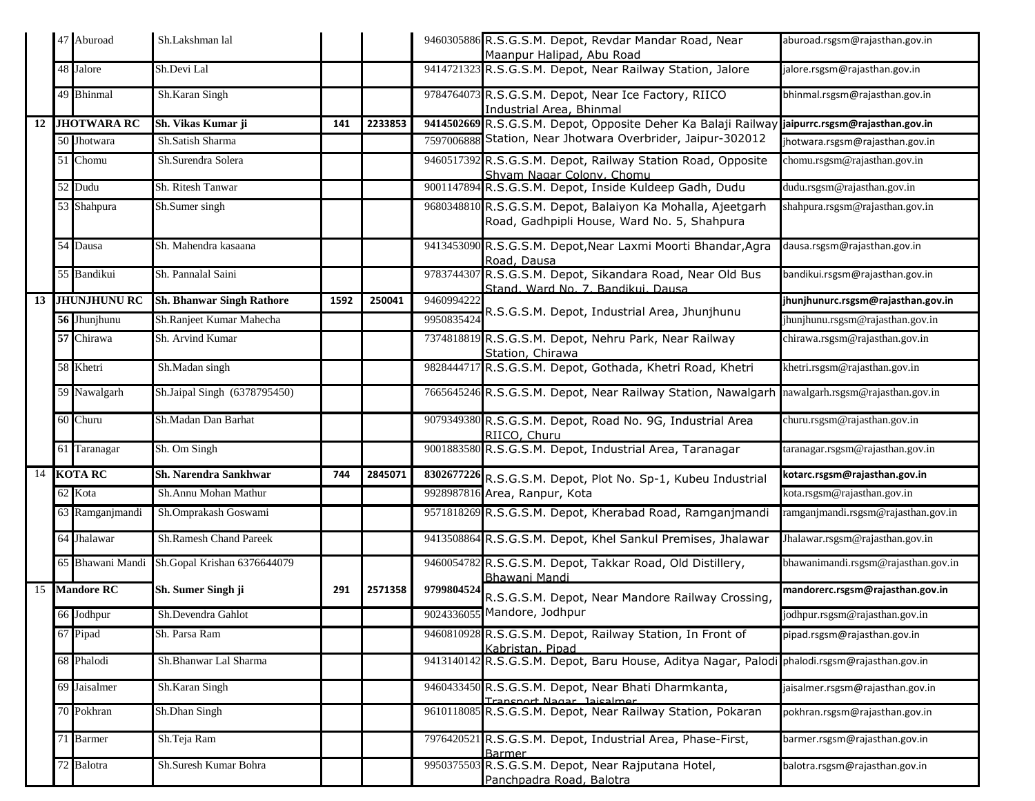|  | 47 Aburoad      | Sh.Lakshman lal                              |      |         |            | 9460305886 R.S.G.S.M. Depot, Revdar Mandar Road, Near<br>Maanpur Halipad, Abu Road                         | aburoad.rsgsm@rajasthan.gov.in      |
|--|-----------------|----------------------------------------------|------|---------|------------|------------------------------------------------------------------------------------------------------------|-------------------------------------|
|  | 48 Jalore       | Sh.Devi Lal                                  |      |         |            | 9414721323 R.S.G.S.M. Depot, Near Railway Station, Jalore                                                  | jalore.rsgsm@rajasthan.gov.in       |
|  | 49 Bhinmal      | Sh.Karan Singh                               |      |         |            | 9784764073 R.S.G.S.M. Depot, Near Ice Factory, RIICO<br>Industrial Area, Bhinmal                           | bhinmal.rsgsm@rajasthan.gov.in      |
|  | 12 JHOTWARA RC  | Sh. Vikas Kumar ji                           | 141  | 2233853 |            | 9414502669 R.S.G.S.M. Depot, Opposite Deher Ka Balaji Railway jaipurrc.rsgsm@rajasthan.gov.in              |                                     |
|  | 50 Jhotwara     | Sh.Satish Sharma                             |      |         |            | 7597006888 Station, Near Jhotwara Overbrider, Jaipur-302012                                                | jhotwara.rsgsm@rajasthan.gov.in     |
|  | 51 Chomu        | Sh.Surendra Solera                           |      |         |            | 9460517392 R.S.G.S.M. Depot, Railway Station Road, Opposite<br>Shyam Nagar Colony, Chomu                   | chomu.rsgsm@rajasthan.gov.in        |
|  | 52 Dudu         | Sh. Ritesh Tanwar                            |      |         |            | 9001147894 R.S.G.S.M. Depot, Inside Kuldeep Gadh, Dudu                                                     | dudu.rsgsm@rajasthan.gov.in         |
|  | 53 Shahpura     | Sh.Sumer singh                               |      |         |            | 9680348810 R.S.G.S.M. Depot, Balaiyon Ka Mohalla, Ajeetgarh<br>Road, Gadhpipli House, Ward No. 5, Shahpura | shahpura.rsgsm@rajasthan.gov.in     |
|  | 54 Dausa        | Sh. Mahendra kasaana                         |      |         |            | 9413453090 R.S.G.S.M. Depot, Near Laxmi Moorti Bhandar, Agra<br>Road, Dausa                                | dausa.rsgsm@rajasthan.gov.in        |
|  | 55 Bandikui     | Sh. Pannalal Saini                           |      |         |            | 9783744307 R.S.G.S.M. Depot, Sikandara Road, Near Old Bus<br>Stand, Ward No. 7, Bandikui, Dausa            | bandikui.rsgsm@rajasthan.gov.in     |
|  | 13 JHUNJHUNU RC | <b>Sh. Bhanwar Singh Rathore</b>             | 1592 | 250041  | 9460994222 |                                                                                                            | jhunjhunurc.rsgsm@rajasthan.gov.in  |
|  | 56 Jhunjhunu    | Sh.Ranjeet Kumar Mahecha                     |      |         | 9950835424 | R.S.G.S.M. Depot, Industrial Area, Jhunjhunu                                                               | jhunjhunu.rsgsm@rajasthan.gov.in    |
|  | 57 Chirawa      | Sh. Arvind Kumar                             |      |         |            | 7374818819 R.S.G.S.M. Depot, Nehru Park, Near Railway<br>Station, Chirawa                                  | chirawa.rsgsm@rajasthan.gov.in      |
|  | 58 Khetri       | Sh.Madan singh                               |      |         |            | 9828444717 R.S.G.S.M. Depot, Gothada, Khetri Road, Khetri                                                  | khetri.rsgsm@rajasthan.gov.in       |
|  | 59 Nawalgarh    | Sh.Jaipal Singh (6378795450)                 |      |         |            | 7665645246 R.S.G.S.M. Depot, Near Railway Station, Nawalgarh                                               | nawalgarh.rsgsm@rajasthan.gov.in    |
|  | 60 Churu        | Sh.Madan Dan Barhat                          |      |         |            | 9079349380 R.S.G.S.M. Depot, Road No. 9G, Industrial Area<br>RIICO, Churu                                  | churu.rsgsm@rajasthan.gov.in        |
|  | 61 Taranagar    | Sh. Om Singh                                 |      |         |            | 9001883580 R.S.G.S.M. Depot, Industrial Area, Taranagar                                                    | taranagar.rsgsm@rajasthan.gov.in    |
|  | 14 KOTA RC      | Sh. Narendra Sankhwar                        | 744  | 2845071 |            | 8302677226 R.S.G.S.M. Depot, Plot No. Sp-1, Kubeu Industrial                                               | kotarc.rsgsm@rajasthan.gov.in       |
|  | 62 Kota         | Sh.Annu Mohan Mathur                         |      |         |            | 9928987816 Area, Ranpur, Kota                                                                              | kota.rsgsm@rajasthan.gov.in         |
|  | 63 Ramganjmandi | Sh.Omprakash Goswami                         |      |         |            | 9571818269 R.S.G.S.M. Depot, Kherabad Road, Ramganjmandi                                                   | ramganjmandi.rsgsm@rajasthan.gov.in |
|  | 64 Jhalawar     | <b>Sh.Ramesh Chand Pareek</b>                |      |         |            | 9413508864 R.S.G.S.M. Depot, Khel Sankul Premises, Jhalawar                                                | Jhalawar.rsgsm@rajasthan.gov.in     |
|  |                 | 65 Bhawani Mandi Sh.Gopal Krishan 6376644079 |      |         |            | 9460054782 R.S.G.S.M. Depot, Takkar Road, Old Distillery,<br>Bhawani Mandi                                 | bhawanimandi.rsgsm@rajasthan.gov.in |
|  | 15 Mandore RC   | Sh. Sumer Singh ji                           | 291  | 2571358 |            | 9799804524 R.S.G.S.M. Depot, Near Mandore Railway Crossing,                                                | mandorerc.rsgsm@rajasthan.gov.in    |
|  | 66 Jodhpur      | Sh.Devendra Gahlot                           |      |         |            | 9024336055 Mandore, Jodhpur                                                                                | jodhpur.rsgsm@rajasthan.gov.in      |
|  | 67 Pipad        | Sh. Parsa Ram                                |      |         |            | 9460810928 R.S.G.S.M. Depot, Railway Station, In Front of<br>Kabristan, Pinad                              | pipad.rsgsm@rajasthan.gov.in        |
|  | 68 Phalodi      | Sh.Bhanwar Lal Sharma                        |      |         |            | 9413140142 R.S.G.S.M. Depot, Baru House, Aditya Nagar, Palodi phalodi.rsgsm@rajasthan.gov.in               |                                     |
|  | 69 Jaisalmer    | Sh.Karan Singh                               |      |         |            | 9460433450 R.S.G.S.M. Depot, Near Bhati Dharmkanta,<br>Transnort Nagar Jaisalmer                           | jaisalmer.rsgsm@rajasthan.gov.in    |
|  | 70 Pokhran      | Sh.Dhan Singh                                |      |         |            | 9610118085 R.S.G.S.M. Depot, Near Railway Station, Pokaran                                                 | pokhran.rsgsm@rajasthan.gov.in      |
|  | 71 Barmer       | Sh.Teja Ram                                  |      |         |            | 7976420521 R.S.G.S.M. Depot, Industrial Area, Phase-First,<br><b>Barmer</b>                                | barmer.rsgsm@rajasthan.gov.in       |
|  | 72 Balotra      | Sh.Suresh Kumar Bohra                        |      |         |            | 9950375503 R.S.G.S.M. Depot, Near Rajputana Hotel,<br>Panchpadra Road, Balotra                             | balotra.rsgsm@rajasthan.gov.in      |